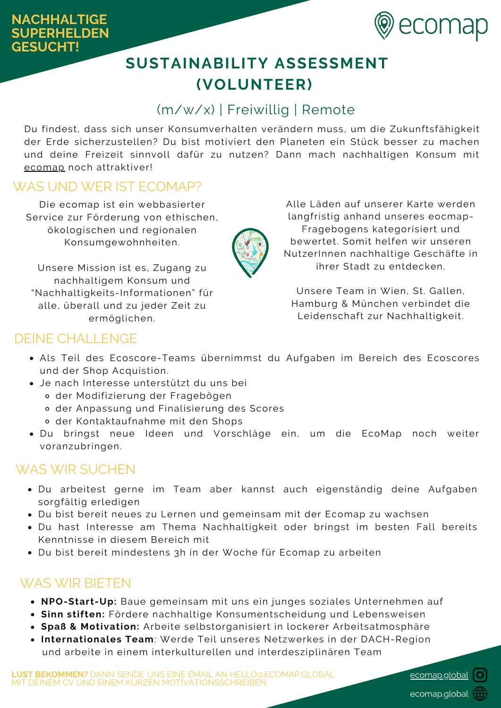

# **SUSTAINABILITY ASSESSMENT (VOLUNTEER)**

# (m/w/x) | Freiwillig | Remote

Du findest, dass sich unser Konsumverhalten verändern muss, um die Zukunftsfähigkeit der Erde sicherzustellen? Du bist motiviert den Planeten ein Stück besser zu machen und deine Freizeit sinnvoll dafür zu nutzen? Dann mach nachhaltigen Konsum mit [ecomap](https://ecomap.global/) noch attraktiver!

### WAS UND WER IST ECOMAP?

Die ecomap ist ein webbasierter Service zur Förderung von ethischen, ökologischen und regionalen Konsumgewohnheiten.

Unsere Mission ist es, Zugang zu nachhaltigem Konsum und "Nachhaltigkeits-Informationen" für alle, überall und zu jeder Zeit zu ermöglichen.

Alle Läden auf unserer Karte werden langfristig anhand unseres eocmap-Fragebogens kategorisiert und bewertet. Somit helfen wir unseren NutzerInnen nachhaltige Geschäfte in ihrer Stadt zu entdecken.

Unsere Team in Wien, St. Gallen, Hamburg & München verbindet die Leidenschaft zur Nachhaltigkeit.

### DEINE CHALLENGE

- Als Teil des Ecoscore-Teams übernimmst du Aufgaben im Bereich des Ecoscores und der Shop Acquistion.
- Je nach Interesse unterstützt du uns bei
	- der Modifizierung der Fragebögen
	- der Anpassung und Finalisierung des Scores
	- der Kontaktaufnahme mit den Shops
- Du bringst neue Ideen und Vorschläge ein, um die EcoMap noch weiter voranzubringen.

#### WAS WIR SUCHEN

- Du arbeitest gerne im Team aber kannst auch eigenständig deine Aufgaben sorgfältig erledigen
- Du bist bereit neues zu Lernen und gemeinsam mit der Ecomap zu wachsen
- Du hast Interesse am Thema Nachhaltigkeit oder bringst im besten Fall bereits Kenntnisse in diesem Bereich mit
- Du bist bereit mindestens 3h in der Woche für Ecomap zu arbeiten

#### WAS WIR BIETEN

- **NPO-Start-Up:** Baue gemeinsam mit uns ein junges soziales Unternehmen auf
- **Sinn stiften:** Fördere nachhaltige Konsumentscheidung und Lebensweisen
- **Spaß & Motivation:** Arbeite selbstorganisiert in lockerer Arbeitsatmosphäre
- **Internationales Team**: Werde Teil unseres Netzwerkes in der DACH-Region und arbeite in einem interkulturellen und interdesziplinären Team

**LUST BEKOMMEN?** DANN SENDE UNS EINE EMAIL AN HELLO@ECOMAP.GLOBAL MIT DEINEM CV UND EINEM KURZEN MOTIVATIONSSCHREIBEN